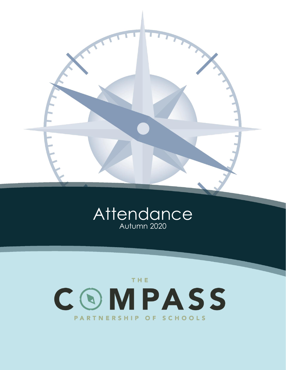



# THE. COMPASS PARTNERSHIP OF SCHOOLS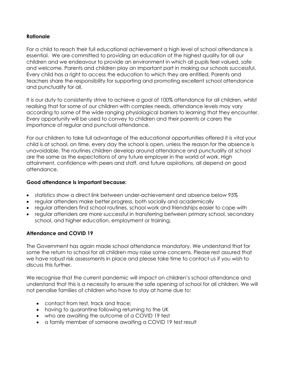# **Rationale**

For a child to reach their full educational achievement a high level of school attendance is essential. We are committed to providing an education of the highest quality for all our children and we endeavour to provide an environment in which all pupils feel valued, safe and welcome. Parents and children play an important part in making our schools successful. Every child has a right to access the education to which they are entitled. Parents and teachers share the responsibility for supporting and promoting excellent school attendance and punctuality for all.

It is our duty to consistently strive to achieve a goal of 100% attendance for all children, whilst realising that for some of our children with complex needs, attendance levels may vary according to some of the wide ranging physiological barriers to learning that they encounter. Every opportunity will be used to convey to children and their parents or carers the importance of regular and punctual attendance.

For our children to take full advantage of the educational opportunities offered it is vital your child is at school, on time, every day the school is open, unless the reason for the absence is unavoidable. The routines children develop around attendance and punctuality at school are the same as the expectations of any future employer in the world of work. High attainment, confidence with peers and staff, and future aspirations, all depend on good attendance.

## **Good attendance is important because:**

- statistics show a direct link between under-achievement and absence below 95%
- regular attenders make better progress, both socially and academically
- regular attenders find school routines, school work and friendships easier to cope with
- regular attenders are more successful in transferring between primary school, secondary school, and higher education, employment or training.

#### **Attendance and COVID 19**

The Government has again made school attendance mandatory. We understand that for some the return to school for all children may raise some concerns. Please rest assured that we have robust risk assessments in place and please take time to contact us if you wish to discuss this further.

We recognise that the current pandemic will impact on children's school attendance and understand that this is a necessity to ensure the safe opening of school for all children. We will not penalise families of children who have to stay at home due to:

- contact from test, track and trace;
- having to quarantine following returning to the UK
- who are awaiting the outcome of a COVID 19 test
- a family member of someone awaiting a COVID 19 test result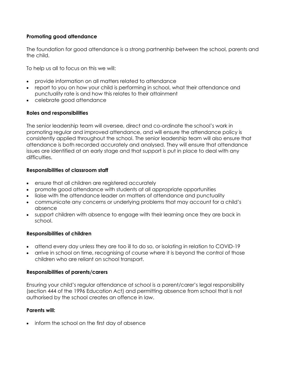# **Promoting good attendance**

The foundation for good attendance is a strong partnership between the school, parents and the child.

To help us all to focus on this we will:

- provide information on all matters related to attendance
- report to you on how your child is performing in school, what their attendance and punctuality rate is and how this relates to their attainment
- celebrate good attendance

# **Roles and responsibilities**

The senior leadership team will oversee, direct and co-ordinate the school's work in promoting regular and improved attendance, and will ensure the attendance policy is consistently applied throughout the school. The senior leadership team will also ensure that attendance is both recorded accurately and analysed. They will ensure that attendance issues are identified at an early stage and that support is put in place to deal with any difficulties.

## **Responsibilities of classroom staff**

- ensure that all children are registered accurately
- promote good attendance with students at all appropriate opportunities
- liaise with the attendance leader on matters of attendance and punctuality
- communicate any concerns or underlying problems that may account for a child's absence
- support children with absence to engage with their learning once they are back in school.

# **Responsibilities of children**

- attend every day unless they are too ill to do so, or isolating in relation to COVID-19
- arrive in school on time, recognising of course where it is beyond the control of those children who are reliant on school transport.

# **Responsibilities of parents/carers**

Ensuring your child's regular attendance at school is a parent/carer's legal responsibility (section 444 of the 1996 Education Act) and permitting absence from school that is not authorised by the school creates an offence in law.

# **Parents will:**

• inform the school on the first day of absence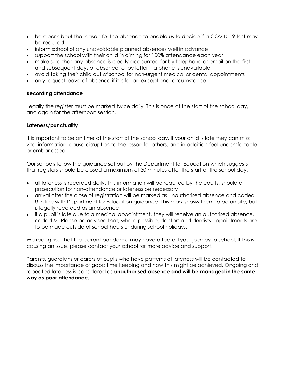- be clear about the reason for the absence to enable us to decide if a COVID-19 test may be required
- inform school of any unavoidable planned absences well in advance
- support the school with their child in aiming for 100% attendance each year
- make sure that any absence is clearly accounted for by telephone or email on the first and subsequent days of absence, or by letter if a phone is unavailable
- avoid taking their child out of school for non-urgent medical or dental appointments
- only request leave of absence if it is for an exceptional circumstance.

# **Recording attendance**

Legally the register must be marked twice daily. This is once at the start of the school day, and again for the afternoon session.

# **Lateness/punctuality**

It is important to be on time at the start of the school day. If your child is late they can miss vital information, cause disruption to the lesson for others, and in addition feel uncomfortable or embarrassed.

Our schools follow the guidance set out by the Department for Education which suggests that registers should be closed a maximum of 30 minutes after the start of the school day.

- all lateness is recorded daily. This information will be required by the courts, should a prosecution for non-attendance or lateness be necessary
- arrival after the close of registration will be marked as unauthorised absence and coded *U* in line with Department for Education guidance. This mark shows them to be on site, but is legally recorded as an absence
- if a pupil is late due to a medical appointment, they will receive an authorised absence, coded *M*. Please be advised that, where possible, doctors and dentists appointments are to be made outside of school hours or during school holidays.

We recognise that the current pandemic may have affected your journey to school. If this is causing an issue, please contact your school for more advice and support.

Parents, guardians or carers of pupils who have patterns of lateness will be contacted to discuss the importance of good time keeping and how this might be achieved. Ongoing and repeated lateness is considered as **unauthorised absence and will be managed in the same way as poor attendance.**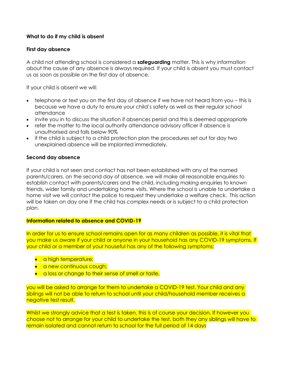# **What to do if my child is absent**

## **First day absence**

A child not attending school is considered a **safeguarding** matter. This is why information about the cause of any absence is always required. If your child is absent you must contact us as soon as possible on the first day of absence.

If your child is absent we will:

- telephone or text you on the first day of absence if we have not heard from you this is because we have a duty to ensure your child's safety as well as their regular school attendance
- invite you in to discuss the situation if absences persist and this is deemed appropriate
- refer the matter to the local authority attendance advisory officer if absence is unauthorised and falls below 90%
- if the child is subject to a child protection plan the procedures set out for day two unexplained absence will be implanted immediately.

## **Second day absence**

If your child is not seen and contact has not been established with any of the named parents/carers, on the second day of absence, we will make all reasonable enquiries to establish contact with parents/carers and the child, including making enquiries to known friends, wider family and undertaking home visits. Where the school is unable to undertake a home visit we will contact the police to request they undertake a welfare check. This action will be taken on day one if the child has complex needs or is subject to a child protection plan.

#### **Information related to absence and COVID-19**

In order for us to ensure school remains open for as many children as possible, it is vital that you make us aware if your child or anyone in your household has any COVID-19 symptoms. If your child or a member of your houseful has any of the following symptoms;

- a high temperature;
- a new continuous cough;
- a loss or change to their sense of smell or taste.

you will be asked to arrange for them to undertake a COVID-19 test. Your child and any siblings will not be able to return to school until your child/household member receives a negative test result.

Whilst we strongly advice that a test is taken, this is of course your decision. If however you choose not to arrange for your child to undertake the test, both they any siblings will have to remain isolated and cannot return to school for the full period of 14 days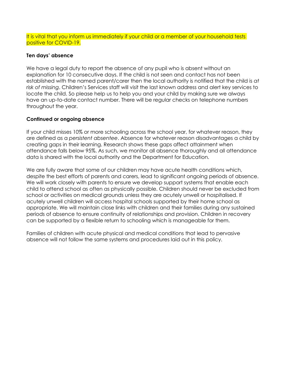It is vital that you inform us immediately if your child or a member of your household tests positive for COVID-19.

# **Ten days' absence**

We have a legal duty to report the absence of any pupil who is absent without an explanation for 10 consecutive days. If the child is not seen and contact has not been established with the named parent/carer then the local authority is notified that the child is *at risk of missing*. Children's Services staff will visit the last known address and alert key services to locate the child. So please help us to help you and your child by making sure we always have an up-to-date contact number. There will be regular checks on telephone numbers throughout the year.

## **Continued or ongoing absence**

If your child misses 10% or more schooling across the school year, for whatever reason, they are defined as a *persistent absentee*. Absence for whatever reason disadvantages a child by creating gaps in their learning. Research shows these gaps affect attainment when attendance falls below 95%. As such, we monitor all absence thoroughly and all attendance data is shared with the local authority and the Department for Education.

We are fully aware that some of our children may have acute health conditions which, despite the best efforts of parents and carers, lead to significant ongoing periods of absence. We will work closely with parents to ensure we develop support systems that enable each child to attend school as often as physically possible. Children should never be excluded from school or activities on medical grounds unless they are acutely unwell or hospitalised. If acutely unwell children will access hospital schools supported by their home school as appropriate. We will maintain close links with children and their families during any sustained periods of absence to ensure continuity of relationships and provision. Children in recovery can be supported by a flexible return to schooling which is manageable for them.

Families of children with acute physical and medical conditions that lead to pervasive absence will not follow the same systems and procedures laid out in this policy.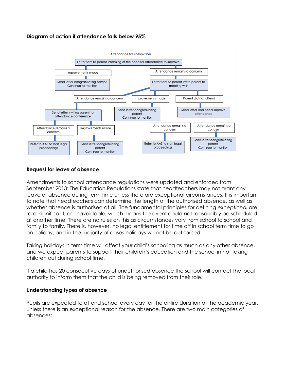# **Diagram of action if attendance falls below 95%**



# **Request for leave of absence**

Amendments to school attendance regulations were updated and enforced from September 2013: The Education Regulations state that headteachers may not grant any leave of absence during term time unless there are exceptional circumstances. It is important to note that headteachers can determine the length of the authorised absence, as well as whether absence is authorised at all. The fundamental principles for defining *exceptional* are rare, significant, or unavoidable, which means the event could not reasonably be scheduled at another time. There are no rules on this as circumstances vary from school to school and family to family. There is, however, no legal entitlement for time off in school term time to go on holiday, and in the majority of cases holidays will not be authorised.

Taking holidays in term time will affect your child's schooling as much as any other absence, and we expect parents to support their children's education and the school in not taking children out during school time.

If a child has 20 consecutive days of unauthorised absence the school will contact the local authority to inform them that the child is being removed from their role.

# **Understanding types of absence**

Pupils are expected to attend school every day for the entire duration of the academic year, unless there is an exceptional reason for the absence. There are two main categories of absences: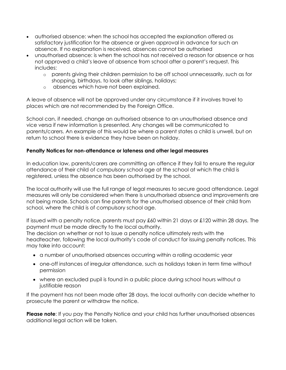- authorised absence: when the school has accepted the explanation offered as satisfactory justification for the absence or given approval in advance for such an absence. If no explanation is received, absences cannot be authorised
- unauthorised absence: is when the school has not received a reason for absence or has not approved a child's leave of absence from school after a parent's request. This includes:
	- o parents giving their children permission to be off school unnecessarily, such as for shopping, birthdays, to look after siblings, holidays;
	- o absences which have not been explained.

A leave of absence will not be approved under any circumstance if it involves travel to places which are not recommended by the Foreign Office.

School can, if needed, change an authorised absence to an unauthorised absence and vice versa if new information is presented. Any changes will be communicated to parents/carers. An example of this would be where a parent states a child is unwell, but on return to school there is evidence they have been on holiday.

# **Penalty Notices for non-attendance or lateness and other legal measures**

In education law, parents/carers are committing an offence if they fail to ensure the regular attendance of their child of compulsory school age at the school at which the child is registered, unless the absence has been authorised by the school.

The local authority will use the full range of legal measures to secure good attendance. Legal measures will only be considered when there is unauthorised absence and improvements are not being made. Schools can fine parents for the unauthorised absence of their child from school, where the child is of compulsory school age.

If issued with a penalty notice, parents must pay £60 within 21 days or £120 within 28 days. The payment must be made directly to the local authority.

The decision on whether or not to issue a penalty notice ultimately rests with the headteacher, following the local authority's code of conduct for issuing penalty notices. This may take into account:

- a number of unauthorised absences occurring within a rolling academic year
- one-off instances of irregular attendance, such as holidays taken in term time without permission
- where an excluded pupil is found in a public place during school hours without a justifiable reason

If the payment has not been made after 28 days, the local authority can decide whether to prosecute the parent or withdraw the notice.

**Please note**: If you pay the Penalty Notice and your child has further unauthorised absences additional legal action will be taken.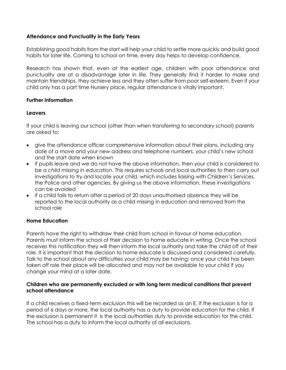# **Attendance and Punctuality in the Early Years**

Establishing good habits from the start will help your child to settle more quickly and build good habits for later life. Coming to school on time, every day helps to develop confidence.

Research has shown that, even at the earliest age, children with poor attendance and punctuality are at a disadvantage later in life. They generally find it harder to make and maintain friendships, they achieve less and they often suffer from poor self-esteem. Even if your child only has a part time Nursery place, regular attendance is vitally important.

## **Further information**

## **Leavers**

If your child is leaving our school (other than when transferring to secondary school) parents are asked to:

- give the attendance officer comprehensive information about their plans, including any date of a move and your new address and telephone numbers, your child's new school and the start date when known
- if pupils leave and we do not have the above information, then your child is considered to be a *child missing in education*. This requires schools and local authorities to then carry out investigations to try and locate your child, which includes liaising with Children's Services, the Police and other agencies. By giving us the above information, these investigations can be avoided
- if a child fails to return after a period of 20 days unauthorised absence they will be reported to the local authority as a child missing in education and removed from the school role

# **Home Education**

Parents have the right to withdraw their child from school in favour of home education. Parents must inform the school of their decision to home educate in writing. Once the school receives this notification they will then inform the local authority and take the child off of their role. It is important that the decision to home educate is discussed and considered carefully. Talk to the school about any difficulties your child may be having; once your child has been taken off role their place will be allocated and may not be available to your child if you change your mind at a later date.

#### **Children who are permanently excluded or with long term medical conditions that prevent school attendance**

If a child receives a fixed-term exclusion this will be recorded as an E. If the exclusion is for a period of 6 days or more, the local authority has a duty to provide education for the child. If the exclusion is permanent it is the local authorities duty to provide education for the child. The school has a duty to inform the local authority of all exclusions.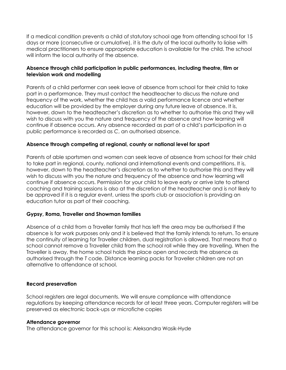If a medical condition prevents a child of statutory school age from attending school for 15 days or more (consecutive or cumulative), it is the duty of the local authority to liaise with medical practitioners to ensure appropriate education is available for the child. The school will inform the local authority of the absence.

# **Absence through child participation in public performances, including theatre, film or television work and modelling**

Parents of a child performer can seek leave of absence from school for their child to take part in a performance. They must contact the headteacher to discuss the nature and frequency of the work, whether the child has a valid performance licence and whether education will be provided by the employer during any future leave of absence. It is, however, down to the headteacher's discretion as to whether to authorise this and they will wish to discuss with you the nature and frequency of the absence and how learning will continue if absence occurs. Any absence recorded as part of a child's participation in a public performance is recorded as *C*, an authorised absence.

# **Absence through competing at regional, county or national level for sport**

Parents of able sportsmen and women can seek leave of absence from school for their child to take part in regional, county, national and international events and competitions. It is, however, down to the headteacher's discretion as to whether to authorise this and they will wish to discuss with you the nature and frequency of the absence and how learning will continue if absence occurs. Permission for your child to leave early or arrive late to attend coaching and training sessions is also at the discretion of the headteacher and is not likely to be approved if it is a regular event, unless the sports club or association is providing an education tutor as part of their coaching.

# **Gypsy, Roma, Traveller and Showman families**

Absence of a child from a Traveller family that has left the area may be authorised if the absence is for work purposes only and it is believed that the family intends to return. To ensure the continuity of learning for Traveller children, dual registration is allowed. That means that a school cannot remove a Traveller child from the school roll while they are travelling. When the Traveller is away, the home school holds the place open and records the absence as authorised through the *T* code. Distance learning packs for Traveller children are not an alternative to attendance at school.

#### **Record preservation**

School registers are legal documents. We will ensure compliance with attendance regulations by keeping attendance records for at least three years. Computer registers will be preserved as electronic back-ups or microfiche copies

#### **Attendance governor**

The attendance governor for this school is: Aleksandra Wasik-Hyde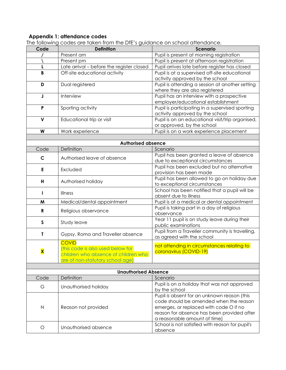#### **Appendix 1: attendance codes**

| Code                    | <b>Definition</b>                         | <b>Scenario</b>                                                                       |
|-------------------------|-------------------------------------------|---------------------------------------------------------------------------------------|
|                         | Present am                                | Pupil is present at morning registration                                              |
|                         | Present pm                                | Pupil is present at afternoon registration                                            |
| L                       | Late arrival - before the register closed | Pupil arrives late before register has closed                                         |
| B                       | Off-site educational activity             | Pupil is at a supervised off-site educational                                         |
|                         |                                           | activity approved by the school                                                       |
| D                       | Dual registered                           | Pupil is attending a session at another setting                                       |
|                         |                                           | where they are also registered                                                        |
| J                       | Interview                                 | Pupil has an interview with a prospective                                             |
|                         |                                           | employer/educational establishment                                                    |
| P                       | Sporting activity                         | Pupil is participating in a supervised sporting                                       |
|                         |                                           | activity approved by the school                                                       |
| V                       | Educational trip or visit                 | Pupil is on an educational visit/trip organised,                                      |
|                         |                                           | or approved, by the school                                                            |
| W                       | Work experience                           | Pupil is on a work experience placement                                               |
|                         |                                           |                                                                                       |
|                         | <b>Authorised absence</b>                 |                                                                                       |
| Code                    | Definition                                | Scenario                                                                              |
| C                       | Authorised leave of absence               | Pupil has been granted a leave of absence                                             |
|                         |                                           | due to exceptional circumstances                                                      |
| E                       | Excluded                                  | Pupil has been excluded but no alternative                                            |
|                         |                                           | provision has been made                                                               |
| H                       | Authorised holiday                        | Pupil has been allowed to go on holiday due                                           |
|                         |                                           | to exceptional circumstances                                                          |
| L                       | <b>Illness</b>                            | School has been notified that a pupil will be                                         |
|                         |                                           | absent due to illness                                                                 |
| M                       | Medical/dental appointment                | Pupil is at a medical or dental appointment                                           |
| R                       | Religious observance                      | Pupil is taking part in a day of religious                                            |
|                         |                                           | observance                                                                            |
| $\mathsf{s}$            | Study leave                               | Year 11 pupil is on study leave during their                                          |
|                         |                                           | public examinations                                                                   |
| T                       | Gypsy, Roma and Traveller absence         | Pupil from a Traveller community is travelling,                                       |
|                         |                                           | as agreed with the school                                                             |
|                         | <b>COVID</b>                              | not attending in circumstances relating to                                            |
| $\overline{\textbf{x}}$ | (this code is also used below for         | coronavirus (COVID-19)                                                                |
|                         | children who absence of children who      |                                                                                       |
|                         | are of non-statutory school age)          |                                                                                       |
|                         |                                           |                                                                                       |
|                         | <b>Unauthorised Absence</b>               |                                                                                       |
| Code                    | Definition                                | Scenario                                                                              |
| G                       | Unauthorised holiday                      | Pupil is on a holiday that was not approved                                           |
|                         |                                           | by the school                                                                         |
|                         |                                           | Pupil is absent for an unknown reason (this<br>code should be amended when the reason |
|                         |                                           |                                                                                       |
| $\mathsf{N}$            | Reason not provided                       | emerges, or replaced with code O if no                                                |
|                         |                                           | reason for absence has been provided after                                            |
|                         |                                           | a reasonable amount of time)                                                          |
| $\circ$                 | Unauthorised absence                      | School is not satisfied with reason for pupil's                                       |
|                         |                                           | absence                                                                               |

The following codes are taken from the DfE's guidance on school attendance.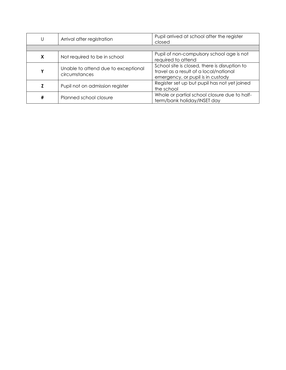| U | Arrival after registration                           | Pupil arrived at school after the register<br>closed                                                                         |
|---|------------------------------------------------------|------------------------------------------------------------------------------------------------------------------------------|
|   |                                                      |                                                                                                                              |
| X | Not required to be in school                         | Pupil of non-compulsory school age is not<br>required to attend                                                              |
| Υ | Unable to attend due to exceptional<br>circumstances | School site is closed, there is disruption to<br>travel as a result of a local/national<br>emergency, or pupil is in custody |
|   | Pupil not on admission register                      | Register set up but pupil has not yet joined<br>the school                                                                   |
| # | Planned school closure                               | Whole or partial school closure due to half-<br>term/bank holiday/INSET day                                                  |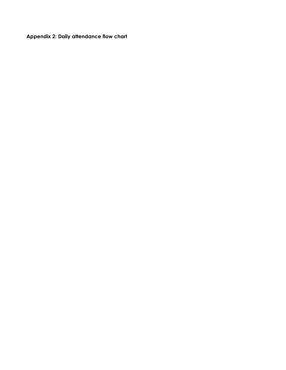**Appendix 2: Daily attendance flow chart**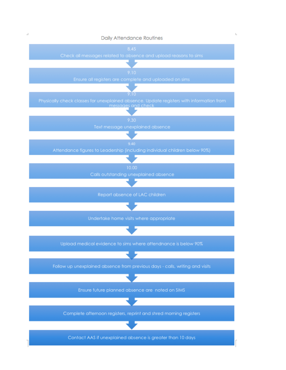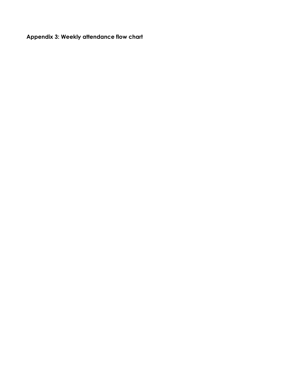**Appendix 3: Weekly attendance flow chart**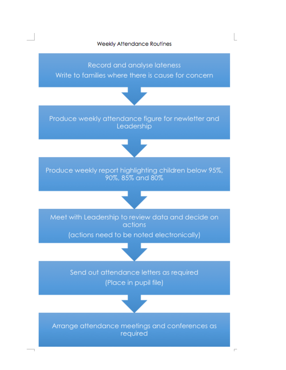

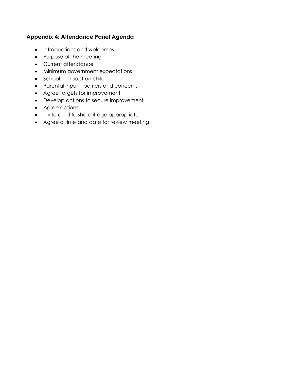# **Appendix 4: Attendance Panel Agenda**

- Introductions and welcomes
- Purpose of the meeting
- Current attendance
- Minimum government expectations
- School impact on child
- Parental input barriers and concerns
- Agree targets for improvement
- Develop actions to secure improvement
- Agree actions
- Invite child to share if age appropriate
- Agree a time and date for review meeting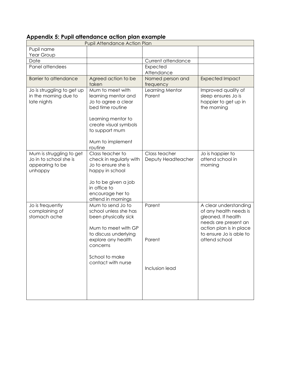# **Appendix 5: Pupil attendance action plan example**

|                                                                                  | <b>Pupil Attendance Action Plan</b>                                                                                                                                                          |                                     |                                                                                                                                                                      |
|----------------------------------------------------------------------------------|----------------------------------------------------------------------------------------------------------------------------------------------------------------------------------------------|-------------------------------------|----------------------------------------------------------------------------------------------------------------------------------------------------------------------|
| Pupil name<br>Year Group                                                         |                                                                                                                                                                                              |                                     |                                                                                                                                                                      |
| Date                                                                             |                                                                                                                                                                                              | Current attendance                  |                                                                                                                                                                      |
| Panel attendees                                                                  |                                                                                                                                                                                              | Expected<br>Attendance              |                                                                                                                                                                      |
| <b>Barrier to attendance</b>                                                     | Agreed action to be<br>taken                                                                                                                                                                 | Named person and<br>frequency       | <b>Expected Impact</b>                                                                                                                                               |
| Jo is struggling to get up<br>in the morning due to<br>late nights               | Mum to meet with<br>learning mentor and<br>Jo to agree a clear<br>bed time routine<br>Learning mentor to<br>create visual symbols<br>to support mum<br>Mum to implement<br>routine           | Learning Mentor<br>Parent           | Improved quality of<br>sleep ensures Jo is<br>happier to get up in<br>the morning                                                                                    |
| Mum is struggling to get<br>Jo in to school she is<br>appearing to be<br>unhappy | Class teacher to<br>check in regularly with<br>Jo to ensure she is<br>happy in school<br>Jo to be given a job<br>in office to<br>encourage her to<br>attend in mornings                      | Class teacher<br>Deputy Headteacher | Jo is happier to<br>attend school in<br>morning                                                                                                                      |
| Jo is frequently<br>complaining of<br>stomach ache                               | Mum to send Jo to<br>school unless she has<br>been physically sick<br>Mum to meet with GP<br>to discuss underlying<br>explore any health<br>concerns<br>School to make<br>contact with nurse | Parent<br>Parent<br>Inclusion lead  | A clear understanding<br>of any health needs is<br>gleaned. If health<br>needs are present an<br>action plan is in place<br>to ensure Jo is able to<br>attend school |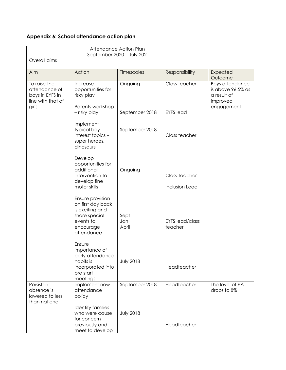# **Appendix 6: School attendance action plan**

| Overall aims                                                                   |                                                                                                                                                                                                                 | Attendance Action Plan<br>September 2020 - July 2021 |                                                  |                                                                 |
|--------------------------------------------------------------------------------|-----------------------------------------------------------------------------------------------------------------------------------------------------------------------------------------------------------------|------------------------------------------------------|--------------------------------------------------|-----------------------------------------------------------------|
| Aim                                                                            | Action                                                                                                                                                                                                          | <b>Timescales</b>                                    | Responsibility                                   | Expected<br>Outcome                                             |
| To raise the<br>attendance of<br>boys in EYFS in<br>line with that of<br>girls | Increase<br>opportunities for<br>risky play<br>Parents workshop                                                                                                                                                 | Ongoing                                              | Class teacher                                    | Boys attendance<br>is above 96.5% as<br>a result of<br>improved |
|                                                                                | - risky play                                                                                                                                                                                                    | September 2018                                       | <b>EYFS</b> lead                                 | engagement                                                      |
|                                                                                | Implement<br>typical boy<br>interest topics -<br>super heroes,<br>dinosaurs                                                                                                                                     | September 2018                                       | Class teacher                                    |                                                                 |
|                                                                                | Develop<br>opportunities for<br>additional<br>intervention to<br>develop fine<br>motor skills                                                                                                                   | Ongoing                                              | <b>Class Teacher</b><br>Inclusion Lead           |                                                                 |
|                                                                                | Ensure provision<br>on first day back<br>is exciting and<br>share special<br>events to<br>encourage<br>attendance<br>Ensure<br>importance of<br>early attendance<br>habits is<br>incorporated into<br>pre start | Sept<br>Jan<br>April<br><b>July 2018</b>             | <b>EYFS lead/class</b><br>teacher<br>Headteacher |                                                                 |
| Persistent                                                                     | meetings<br>Implement new                                                                                                                                                                                       | September 2018                                       | Headteacher                                      | The level of PA                                                 |
| absence is<br>lowered to less<br>than national                                 | attendance<br>policy<br><b>Identify families</b><br>who were cause                                                                                                                                              | <b>July 2018</b>                                     |                                                  | drops to 8%                                                     |
|                                                                                | for concern<br>previously and<br>meet to develop                                                                                                                                                                |                                                      | Headteacher                                      |                                                                 |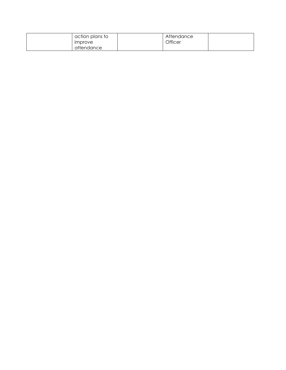| action plans to       | Attendance |  |
|-----------------------|------------|--|
| <i><b>IMProve</b></i> | Officer    |  |
| attendance            |            |  |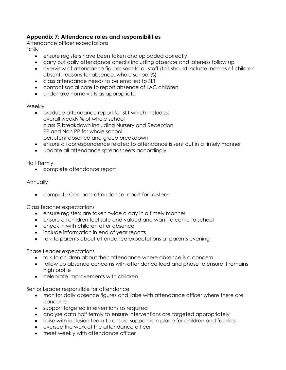# **Appendix 7: Attendance roles and responsibilities**

Attendance officer expectations

**Daily** 

- ensure registers have been taken and uploaded correctly
- carry out daily attendance checks including absence and lateness follow up
- overview of attendance figures sent to all staff (this should include: names of children absent, reasons for absence, whole school %)
- class attendance needs to be emailed to SLT
- contact social care to report absence of LAC children
- undertake home visits as appropriate

# Weekly

- produce attendance report for SLT which includes: overall weekly % of whole school class % breakdown including Nursery and Reception PP and Non PP for whole school persistent absence and group breakdown
- ensure all correspondence related to attendance is sent out in a timely manner
- update all attendance spreadsheets accordingly

Half Termly

• complete attendance report

# Annually

• complete Compass attendance report for Trustees

Class teacher expectations

- ensure registers are taken twice a day in a timely manner
- ensure all children feel safe and valued and want to come to school
- check in with children after absence
- include information in end of year reports
- talk to parents about attendance expectations at parents evening

# Phase Leader expectations

- talk to children about their attendance where absence is a concern
- follow up absence concerns with attendance lead and phase to ensure it remains high profile
- celebrate improvements with children

Senior Leader responsible for attendance

- monitor daily absence figures and liaise with attendance officer where there are concerns
- support targeted interventions as required
- analyse data half termly to ensure interventions are targeted appropriately
- liaise with inclusion team to ensure support is in place for children and families
- oversee the work of the attendance officer
- meet weekly with attendance officer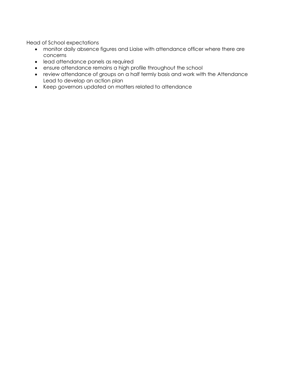Head of School expectations

- monitor daily absence figures and Liaise with attendance officer where there are concerns
- lead attendance panels as required
- ensure attendance remains a high profile throughout the school
- review attendance of groups on a half termly basis and work with the Attendance Lead to develop an action plan
- Keep governors updated on matters related to attendance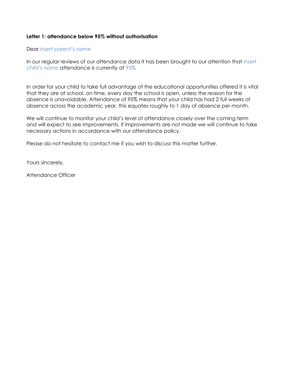# **Letter 1: attendance below 95% without authorisation**

#### Dear *insert parent's name*

In our regular reviews of our attendance data it has been brought to our attention that *insert child's name* attendance is currently at 95%*.*

In order for your child to take full advantage of the educational opportunities offered it is vital that they are at school, on time, every day the school is open, unless the reason for the absence is unavoidable. Attendance of 95% means that your child has had 2 full weeks of absence across the academic year, this equates roughly to 1 day of absence per month.

We will continue to monitor your child's level of attendance closely over the coming term and will expect to see improvements. If improvements are not made we will continue to take necessary actions in accordance with our attendance policy.

Please do not hesitate to contact me if you wish to discuss this matter further.

Yours sincerely,

Attendance Officer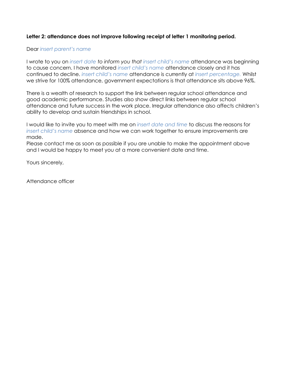# Letter 2: attendance does not improve following receipt of letter 1 monitoring period.

#### Dear *insert parent's name*

I wrote to you on *insert date to inform you that insert child's name* attendance was beginning to cause concern. I have monitored *insert child's name* attendance closely and it has continued to decline. *insert child's name* attendance is currently at *insert percentage.* Whilst we strive for 100% attendance, government expectations is that attendance sits above 96%.

There is a wealth of research to support the link between regular school attendance and good academic performance. Studies also show direct links between regular school attendance and future success in the work place. Irregular attendance also affects children's ability to develop and sustain friendships in school.

I would like to invite you to meet with me on *insert date and time* to discuss the reasons for *insert child's name* absence and how we can work together to ensure improvements are made.

Please contact me as soon as possible if you are unable to make the appointment above and I would be happy to meet you at a more convenient date and time.

Yours sincerely,

Attendance officer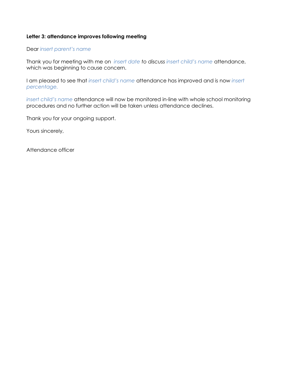#### **Letter 3: attendance improves following meeting**

Dear *insert parent's name*

Thank you for meeting with me on *insert date to discuss insert child's name* attendance, which was beginning to cause concern.

I am pleased to see that *insert child's name* attendance has improved and is now *insert percentage.* 

*insert child's name* attendance will now be monitored in-line with whole school monitoring procedures and no further action will be taken unless attendance declines.

Thank you for your ongoing support.

Yours sincerely,

Attendance officer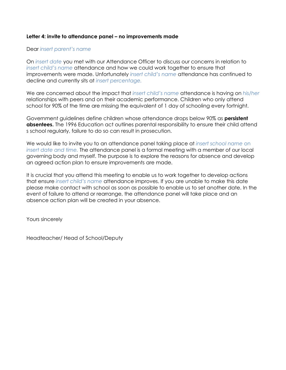# **Letter 4: invite to attendance panel – no improvements made**

#### Dear *insert parent's name*

On *insert date* you met with our Attendance Officer to discuss our concerns in relation to *insert child's name* attendance and how we could work together to ensure that improvements were made. Unfortunately *insert child's name* attendance has continued to decline and currently sits at *insert percentage.*

We are concerned about the impact that *insert child's name* attendance is having on *his/her*  relationships with peers and on their academic performance. Children who only attend school for 90% of the time are missing the equivalent of 1 day of schooling every fortnight.

Government guidelines define children whose attendance drops below 90% as **persistent absentees.** The 1996 Education act outlines parental responsibility to ensure their child attend s school regularly, failure to do so can result in prosecution.

We would like to invite you to an attendance panel taking place at *insert school name* on *insert date and time.* The attendance panel is a formal meeting with a member of our local governing body and myself. The purpose is to explore the reasons for absence and develop an agreed action plan to ensure improvements are made.

It is crucial that you attend this meeting to enable us to work together to develop actions that ensure *insert child's name* attendance improves. If you are unable to make this date please make contact with school as soon as possible to enable us to set another date. In the event of failure to attend or rearrange, the attendance panel will take place and an absence action plan will be created in your absence.

Yours sincerely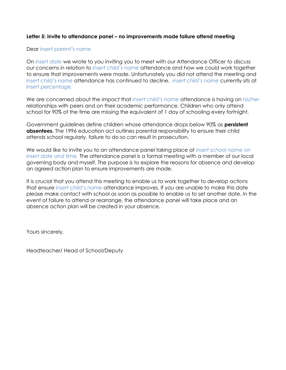# **Letter 5: invite to attendance panel – no improvements made failure attend meeting**

#### Dear *insert parent's name*

On *insert date* we wrote to you inviting you to meet with our Attendance Officer *to discuss our concerns in relation to insert child's name* attendance and how we could work together to ensure that improvements were made. Unfortunately you did not attend the meeting and *insert child's name* attendance has continued to decline. *insert child's name* currently sits at *insert percentage.*

We are concerned about the impact that *insert child's name* attendance is having on *his/her*  relationships with peers and on their academic performance. Children who only attend school for 90% of the time are missing the equivalent of 1 day of schooling every fortnight.

Government guidelines define children whose attendance drops below 90% as **persistent absentees.** The 1996 education act outlines parental responsibility to ensure their child attends school regularly, failure to do so can result in prosecution.

We would like to invite you to an attendance panel taking place at *insert school name* on *insert date and time.* The attendance panel is a formal meeting with a member of our local governing body and myself. The purpose is to explore the reasons for absence and develop an agreed action plan to ensure improvements are made.

It is crucial that you attend this meeting to enable us to work together to develop actions that ensure *insert child's name* attendance improves. If you are unable to make this date please make contact with school as soon as possible to enable us to set another date. In the event of failure to attend or rearrange, the attendance panel will take place and an absence action plan will be created in your absence.

Yours sincerely,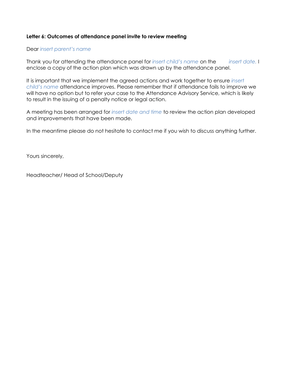# **Letter 6: Outcomes of attendance panel invite to review meeting**

#### Dear *insert parent's name*

Thank you for attending the attendance panel for *insert child's name* on the *insert date.* I enclose a copy of the action plan which was drawn up by the attendance panel.

It is important that we implement the agreed actions and work together to ensure *insert child's name* attendance improves. Please remember that if attendance fails to improve we will have no option but to refer your case to the Attendance Advisory Service, which is likely to result in the issuing of a penalty notice or legal action.

A meeting has been arranged for *insert date and time* to review the action plan developed and improvements that have been made.

In the meantime please do not hesitate to contact me if you wish to discuss anything further.

Yours sincerely,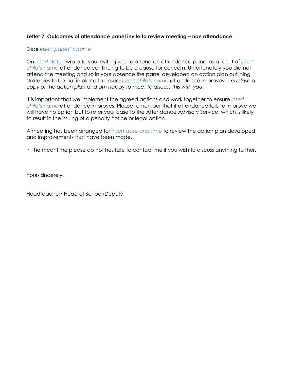# **Letter 7: Outcomes of attendance panel invite to review meeting – non attendance**

#### Dear *insert parent's name*

On *insert date* I wrote to you inviting you to attend an attendance panel as a result of *insert child's name* attendance continuing to be a cause for concern. Unfortunately you did not attend the meeting and so in your absence the panel developed an action plan outlining strategies to be put in place to ensure *insert child's name* attendance improves. *I enclose a copy of the action plan and am happy to meet to discuss this with you.*

It is important that we implement the agreed actions and work together to ensure *insert child's name* attendance improves. Please remember that if attendance fails to improve we will have no option but to refer your case to the Attendance Advisory Service, which is likely to result in the issuing of a penalty notice or legal action.

A meeting has been arranged for *insert date and time* to review the action plan developed and improvements that have been made.

In the meantime please do not hesitate to contact me if you wish to discuss anything further.

Yours sincerely,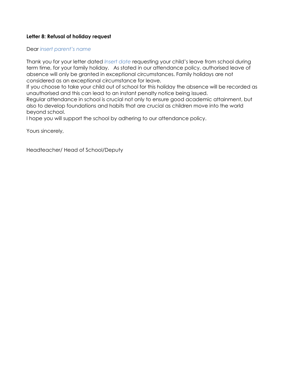# **Letter 8: Refusal of holiday request**

Dear *insert parent's name*

Thank you for your letter dated *Insert date* requesting your child's leave from school during term time, for your family holiday. As stated in our attendance policy, authorised leave of absence will only be granted in exceptional circumstances. Family holidays are not considered as an exceptional circumstance for leave.

If you choose to take your child out of school for this holiday the absence will be recorded as unauthorised and this can lead to an instant penalty notice being issued.

Regular attendance in school is crucial not only to ensure good academic attainment, but also to develop foundations and habits that are crucial as children move into the world beyond school.

I hope you will support the school by adhering to our attendance policy.

Yours sincerely,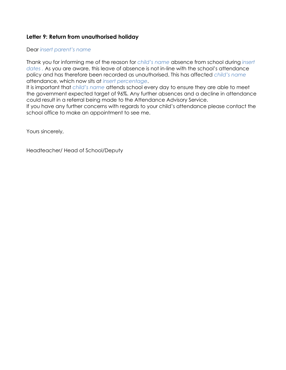# **Letter 9: Return from unauthorised holiday**

#### Dear *insert parent's name*

Thank you for informing me of the reason for *child's name* absence from school during *insert dates .* As you are aware, this leave of absence is not in-line with the school's attendance policy and has therefore been recorded as unauthorised. This has affected *child's name* attendance, which now sits at *insert percentage*.

It is important that *child's name* attends school every day to ensure they are able to meet the government expected target of 96%. Any further absences and a decline in attendance could result in a referral being made to the Attendance Advisory Service.

If you have any further concerns with regards to your child's attendance please contact the school office to make an appointment to see me.

Yours sincerely,